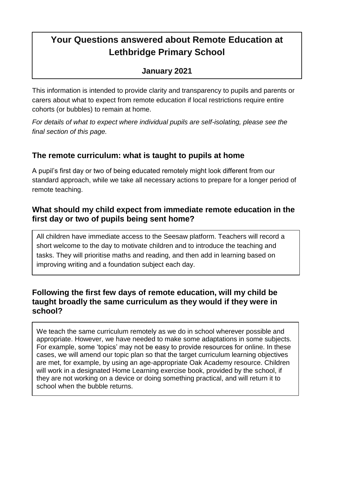# **Your Questions answered about Remote Education at Lethbridge Primary School**

#### **January 2021**

This information is intended to provide clarity and transparency to pupils and parents or carers about what to expect from remote education if local restrictions require entire cohorts (or bubbles) to remain at home.

*For details of what to expect where individual pupils are self-isolating, please see the final section of this page.*

#### **The remote curriculum: what is taught to pupils at home**

A pupil's first day or two of being educated remotely might look different from our standard approach, while we take all necessary actions to prepare for a longer period of remote teaching.

#### **What should my child expect from immediate remote education in the first day or two of pupils being sent home?**

All children have immediate access to the Seesaw platform. Teachers will record a short welcome to the day to motivate children and to introduce the teaching and tasks. They will prioritise maths and reading, and then add in learning based on improving writing and a foundation subject each day.

#### **Following the first few days of remote education, will my child be taught broadly the same curriculum as they would if they were in school?**

We teach the same curriculum remotely as we do in school wherever possible and appropriate. However, we have needed to make some adaptations in some subjects. For example, some 'topics' may not be easy to provide resources for online. In these cases, we will amend our topic plan so that the target curriculum learning objectives are met, for example, by using an age-appropriate Oak Academy resource. Children will work in a designated Home Learning exercise book, provided by the school, if they are not working on a device or doing something practical, and will return it to school when the bubble returns.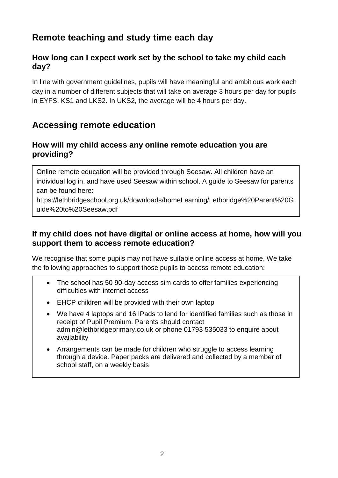### **Remote teaching and study time each day**

#### **How long can I expect work set by the school to take my child each day?**

In line with government guidelines, pupils will have meaningful and ambitious work each day in a number of different subjects that will take on average 3 hours per day for pupils in EYFS, KS1 and LKS2. In UKS2, the average will be 4 hours per day.

### **Accessing remote education**

#### **How will my child access any online remote education you are providing?**

Online remote education will be provided through Seesaw. All children have an individual log in, and have used Seesaw within school. A guide to Seesaw for parents can be found here:

[https://lethbridgeschool.org.uk/downloads/homeLearning/Lethbridge%20Parent%20G](https://lethbridgeschool.org.uk/downloads/homeLearning/Lethbridge%20Parent%20Guide%20to%20Seesaw.pdf) [uide%20to%20Seesaw.pdf](https://lethbridgeschool.org.uk/downloads/homeLearning/Lethbridge%20Parent%20Guide%20to%20Seesaw.pdf)

#### **If my child does not have digital or online access at home, how will you support them to access remote education?**

We recognise that some pupils may not have suitable online access at home. We take the following approaches to support those pupils to access remote education:

- The school has 50 90-day access sim cards to offer families experiencing difficulties with internet access
- EHCP children will be provided with their own laptop
- We have 4 laptops and 16 IPads to lend for identified families such as those in receipt of Pupil Premium. Parents should contact [admin@lethbridgeprimary.co.uk](mailto:admin@lethbridgeprimary.co.uk) or phone 01793 535033 to enquire about availability
- Arrangements can be made for children who struggle to access learning through a device. Paper packs are delivered and collected by a member of school staff, on a weekly basis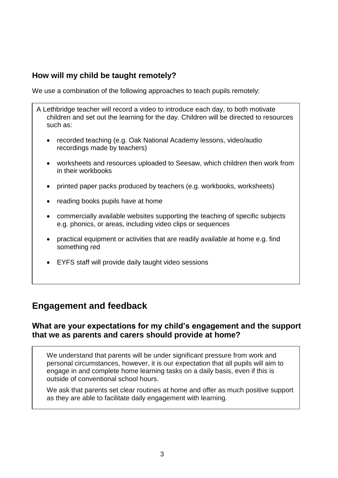#### **How will my child be taught remotely?**

We use a combination of the following approaches to teach pupils remotely:

- A Lethbridge teacher will record a video to introduce each day, to both motivate children and set out the learning for the day. Children will be directed to resources such as:
	- recorded teaching (e.g. Oak National Academy lessons, video/audio recordings made by teachers)
	- worksheets and resources uploaded to Seesaw, which children then work from in their workbooks
	- printed paper packs produced by teachers (e.g. workbooks, worksheets)
	- reading books pupils have at home
	- commercially available websites supporting the teaching of specific subjects e.g. phonics, or areas, including video clips or sequences
	- practical equipment or activities that are readily available at home e.g. find something red
	- EYFS staff will provide daily taught video sessions

### **Engagement and feedback**

#### **What are your expectations for my child's engagement and the support that we as parents and carers should provide at home?**

We understand that parents will be under significant pressure from work and personal circumstances, however, it is our expectation that all pupils will aim to engage in and complete home learning tasks on a daily basis, even if this is outside of conventional school hours.

We ask that parents set clear routines at home and offer as much positive support as they are able to facilitate daily engagement with learning.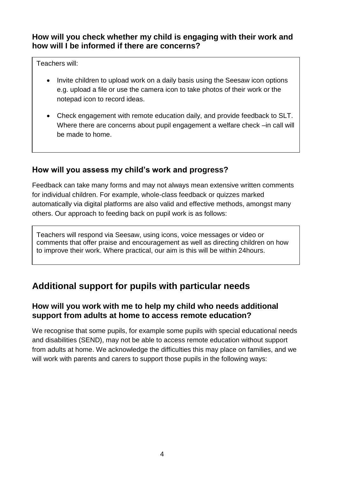#### **How will you check whether my child is engaging with their work and how will I be informed if there are concerns?**

Teachers will:

- Invite children to upload work on a daily basis using the Seesaw icon options e.g. upload a file or use the camera icon to take photos of their work or the notepad icon to record ideas.
- Check engagement with remote education daily, and provide feedback to SLT. Where there are concerns about pupil engagement a welfare check –in call will be made to home.

#### **How will you assess my child's work and progress?**

Feedback can take many forms and may not always mean extensive written comments for individual children. For example, whole-class feedback or quizzes marked automatically via digital platforms are also valid and effective methods, amongst many others. Our approach to feeding back on pupil work is as follows:

Teachers will respond via Seesaw, using icons, voice messages or video or comments that offer praise and encouragement as well as directing children on how to improve their work. Where practical, our aim is this will be within 24hours.

# **Additional support for pupils with particular needs**

#### **How will you work with me to help my child who needs additional support from adults at home to access remote education?**

We recognise that some pupils, for example some pupils with special educational needs and disabilities (SEND), may not be able to access remote education without support from adults at home. We acknowledge the difficulties this may place on families, and we will work with parents and carers to support those pupils in the following ways: